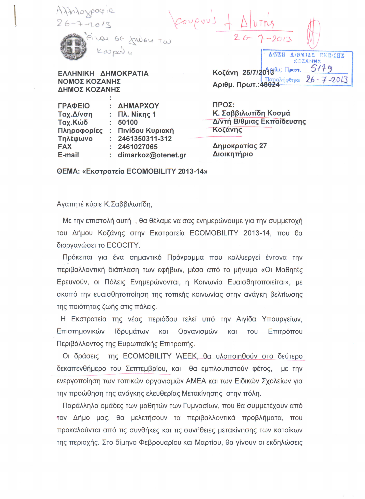myoxpox is Loupous + Fival of frien Tal  $k$ 0000) Δ/ΝΣΗ Δ/ΘΜΙΔΣ ΕΚΠ/ΣΗΣ KOZANNZ  $5149$ Κοζάνη 25/7/2013<sup>θμ; Πρων.</sup> ΕΛΛΗΝΙΚΗ ΔΗΜΟΚΡΑΤΙΑ  $26 - 7 - 2013$ ραλήφ<del>θ</del>ηκε ΝΟΜΟΣ ΚΟΖΑΝΗΣ Αριθμ. Πρωτ.: 48024 ΔΗΜΟΣ ΚΟΖΑΝΗΣ ΠΡΟΣ: ΓΡΑΦΕΙΟ : ΔΗΜΑΡΧΟΥ

Ταχ.Δ/νση :  $\Pi\lambda$ . Níkn $\zeta$  1 Ταχ.Κώδ  $: 50100$ Πληροφορίες: Πινίδου Κυριακή  $: 2461350311 - 312$ Τηλέφωνο **FAX**  $: 2461027065$ E-mail : dimarkoz@otenet.gr

Κ. Σαββιλωτίδη Κοσμά Δ/ντή Β/θμιας Εκπαίδευσης Κοζάνης

Δημοκρατίας 27 Διοικητήριο

ΘΕΜΑ: «Εκστρατεία ECOMOBILITY 2013-14»

Αγαπητέ κύριε Κ.Σαββιλωτίδη,

Με την επιστολή αυτή, θα θέλαμε να σας ενημερώνουμε για την συμμετοχή του Δήμου Κοζάνης στην Εκστρατεία ECOMOBILITY 2013-14, που θα διοργανώσει το ECOCITY.

Πρόκειται για ένα σημαντικό Πρόγραμμα που καλλιεργεί έντονα την περιβαλλοντική διάπλαση των εφήβων, μέσα από το μήνυμα «Οι Μαθητές Ερευνούν, οι Πόλεις Ενημερώνονται, η Κοινωνία Ευαισθητοποιείται», με σκοπό την ευαισθητοποίηση της τοπικής κοινωνίας στην ανάγκη βελτίωσης της ποιότητας ζωής στις πόλεις.

Η Εκστρατεία της νέας περιόδου τελεί υπό την Αιγίδα Υπουργείων, Οργανισμών Επιστημονικών Ιδρυμάτων και και TOU Επιτρόπου Περιβάλλοντος της Ευρωπαϊκής Επιτροπής.

Οι δράσεις της ECOMOBILITY WEEK, θα υλοποιηθούν στο δεύτερο δεκαπενθήμερο του Σεπτεμβρίου, και θα εμπλουτιστούν φέτος, με την ενεργοποίηση των τοπικών οργανισμών ΑΜΕΑ και των Ειδικών Σχολείων για την προώθηση της ανάγκης ελευθερίας Μετακίνησης στην πόλη.

Παράλληλα ομάδες των μαθητών των Γυμνασίων, που θα συμμετέχουν από τον Δήμο μας, θα μελετήσουν τα περιβαλλοντικά προβλήματα, που προκαλούνται από τις συνθήκες και τις συνήθειες μετακίνησης των κατοίκων της περιοχής. Στο δίμηνο Φεβρουαρίου και Μαρτίου, θα γίνουν οι εκδηλώσεις